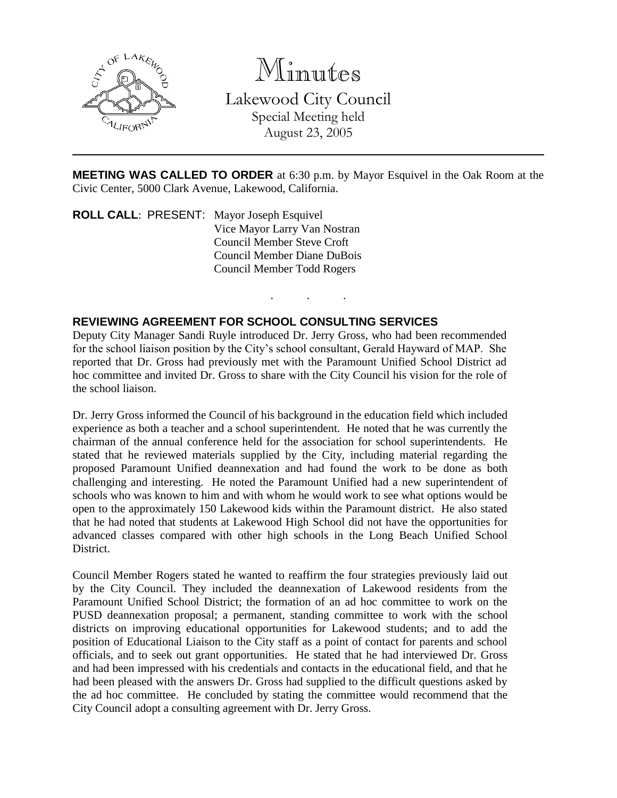

Minutes

Lakewood City Council Special Meeting held

August 23, 2005

**MEETING WAS CALLED TO ORDER** at 6:30 p.m. by Mayor Esquivel in the Oak Room at the Civic Center, 5000 Clark Avenue, Lakewood, California.

. . .

**ROLL CALL**: PRESENT: Mayor Joseph Esquivel Vice Mayor Larry Van Nostran Council Member Steve Croft Council Member Diane DuBois Council Member Todd Rogers

## **REVIEWING AGREEMENT FOR SCHOOL CONSULTING SERVICES**

Deputy City Manager Sandi Ruyle introduced Dr. Jerry Gross, who had been recommended for the school liaison position by the City's school consultant, Gerald Hayward of MAP. She reported that Dr. Gross had previously met with the Paramount Unified School District ad hoc committee and invited Dr. Gross to share with the City Council his vision for the role of the school liaison.

Dr. Jerry Gross informed the Council of his background in the education field which included experience as both a teacher and a school superintendent. He noted that he was currently the chairman of the annual conference held for the association for school superintendents. He stated that he reviewed materials supplied by the City, including material regarding the proposed Paramount Unified deannexation and had found the work to be done as both challenging and interesting. He noted the Paramount Unified had a new superintendent of schools who was known to him and with whom he would work to see what options would be open to the approximately 150 Lakewood kids within the Paramount district. He also stated that he had noted that students at Lakewood High School did not have the opportunities for advanced classes compared with other high schools in the Long Beach Unified School District.

Council Member Rogers stated he wanted to reaffirm the four strategies previously laid out by the City Council. They included the deannexation of Lakewood residents from the Paramount Unified School District; the formation of an ad hoc committee to work on the PUSD deannexation proposal; a permanent, standing committee to work with the school districts on improving educational opportunities for Lakewood students; and to add the position of Educational Liaison to the City staff as a point of contact for parents and school officials, and to seek out grant opportunities. He stated that he had interviewed Dr. Gross and had been impressed with his credentials and contacts in the educational field, and that he had been pleased with the answers Dr. Gross had supplied to the difficult questions asked by the ad hoc committee. He concluded by stating the committee would recommend that the City Council adopt a consulting agreement with Dr. Jerry Gross.